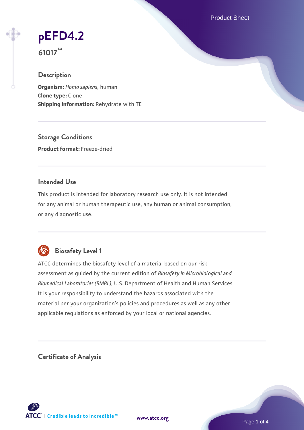Product Sheet

# **[pEFD4.2](https://www.atcc.org/products/61017)**

**61017™**

# **Description**

**Organism:** *Homo sapiens*, human **Clone type:** Clone **Shipping information:** Rehydrate with TE

**Storage Conditions Product format:** Freeze-dried

# **Intended Use**

This product is intended for laboratory research use only. It is not intended for any animal or human therapeutic use, any human or animal consumption, or any diagnostic use.



# **Biosafety Level 1**

ATCC determines the biosafety level of a material based on our risk assessment as guided by the current edition of *Biosafety in Microbiological and Biomedical Laboratories (BMBL)*, U.S. Department of Health and Human Services. It is your responsibility to understand the hazards associated with the material per your organization's policies and procedures as well as any other applicable regulations as enforced by your local or national agencies.

**Certificate of Analysis**

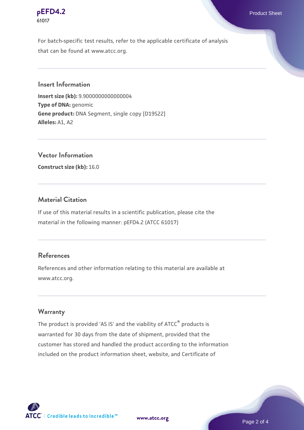#### **[pEFD4.2](https://www.atcc.org/products/61017)** Product Sheet **61017**

For batch-specific test results, refer to the applicable certificate of analysis that can be found at www.atcc.org.

#### **Insert Information**

**Insert size (kb):** 9.9000000000000004 **Type of DNA:** genomic **Gene product:** DNA Segment, single copy [D19S22] **Alleles:** A1, A2

**Vector Information**

**Construct size (kb):** 16.0

# **Material Citation**

If use of this material results in a scientific publication, please cite the material in the following manner: pEFD4.2 (ATCC 61017)

# **References**

References and other information relating to this material are available at www.atcc.org.

#### **Warranty**

The product is provided 'AS IS' and the viability of ATCC® products is warranted for 30 days from the date of shipment, provided that the customer has stored and handled the product according to the information included on the product information sheet, website, and Certificate of



**[www.atcc.org](http://www.atcc.org)**

Page 2 of 4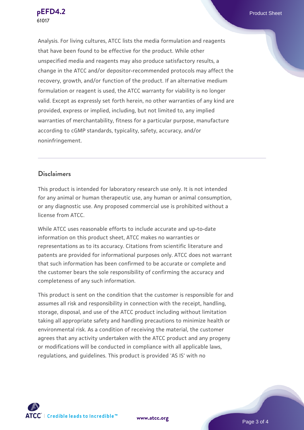Analysis. For living cultures, ATCC lists the media formulation and reagents that have been found to be effective for the product. While other unspecified media and reagents may also produce satisfactory results, a change in the ATCC and/or depositor-recommended protocols may affect the recovery, growth, and/or function of the product. If an alternative medium formulation or reagent is used, the ATCC warranty for viability is no longer valid. Except as expressly set forth herein, no other warranties of any kind are provided, express or implied, including, but not limited to, any implied warranties of merchantability, fitness for a particular purpose, manufacture according to cGMP standards, typicality, safety, accuracy, and/or noninfringement.

#### **Disclaimers**

This product is intended for laboratory research use only. It is not intended for any animal or human therapeutic use, any human or animal consumption, or any diagnostic use. Any proposed commercial use is prohibited without a license from ATCC.

While ATCC uses reasonable efforts to include accurate and up-to-date information on this product sheet, ATCC makes no warranties or representations as to its accuracy. Citations from scientific literature and patents are provided for informational purposes only. ATCC does not warrant that such information has been confirmed to be accurate or complete and the customer bears the sole responsibility of confirming the accuracy and completeness of any such information.

This product is sent on the condition that the customer is responsible for and assumes all risk and responsibility in connection with the receipt, handling, storage, disposal, and use of the ATCC product including without limitation taking all appropriate safety and handling precautions to minimize health or environmental risk. As a condition of receiving the material, the customer agrees that any activity undertaken with the ATCC product and any progeny or modifications will be conducted in compliance with all applicable laws, regulations, and guidelines. This product is provided 'AS IS' with no



**[www.atcc.org](http://www.atcc.org)**

Page 3 of 4